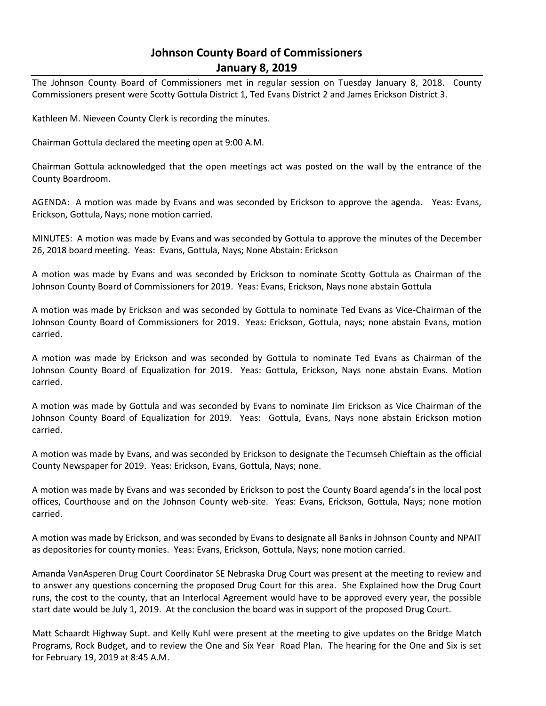## **Johnson County Board of Commissioners January 8, 2019**

The Johnson County Board of Commissioners met in regular session on Tuesday January 8, 2018. County Commissioners present were Scotty Gottula District 1, Ted Evans District 2 and James Erickson District 3.

Kathleen M. Nieveen County Clerk is recording the minutes.

Chairman Gottula declared the meeting open at 9:00 A.M.

Chairman Gottula acknowledged that the open meetings act was posted on the wall by the entrance of the County Boardroom.

AGENDA: A motion was made by Evans and was seconded by Erickson to approve the agenda. Yeas: Evans, Erickson, Gottula, Nays; none motion carried.

MINUTES: A motion was made by Evans and was seconded by Gottula to approve the minutes of the December 26, 2018 board meeting. Yeas: Evans, Gottula, Nays; None Abstain: Erickson

A motion was made by Evans and was seconded by Erickson to nominate Scotty Gottula as Chairman of the Johnson County Board of Commissioners for 2019. Yeas: Evans, Erickson, Nays none abstain Gottula

A motion was made by Erickson and was seconded by Gottula to nominate Ted Evans as Vice-Chairman of the Johnson County Board of Commissioners for 2019. Yeas: Erickson, Gottula, nays; none abstain Evans, motion carried.

A motion was made by Erickson and was seconded by Gottula to nominate Ted Evans as Chairman of the Johnson County Board of Equalization for 2019. Yeas: Gottula, Erickson, Nays none abstain Evans. Motion carried.

A motion was made by Gottula and was seconded by Evans to nominate Jim Erickson as Vice Chairman of the Johnson County Board of Equalization for 2019. Yeas: Gottula, Evans, Nays none abstain Erickson motion carried.

A motion was made by Evans, and was seconded by Erickson to designate the Tecumseh Chieftain as the official County Newspaper for 2019. Yeas: Erickson, Evans, Gottula, Nays; none.

A motion was made by Evans and was seconded by Erickson to post the County Board agenda's in the local post offices, Courthouse and on the Johnson County web-site. Yeas: Evans, Erickson, Gottula, Nays; none motion carried.

A motion was made by Erickson, and was seconded by Evans to designate all Banks in Johnson County and NPAIT as depositories for county monies. Yeas: Evans, Erickson, Gottula, Nays; none motion carried.

Amanda VanAsperen Drug Court Coordinator SE Nebraska Drug Court was present at the meeting to review and to answer any questions concerning the proposed Drug Court for this area. She Explained how the Drug Court runs, the cost to the county, that an Interlocal Agreement would have to be approved every year, the possible start date would be July 1, 2019. At the conclusion the board was in support of the proposed Drug Court.

Matt Schaardt Highway Supt. and Kelly Kuhl were present at the meeting to give updates on the Bridge Match Programs, Rock Budget, and to review the One and Six Year Road Plan. The hearing for the One and Six is set for February 19, 2019 at 8:45 A.M.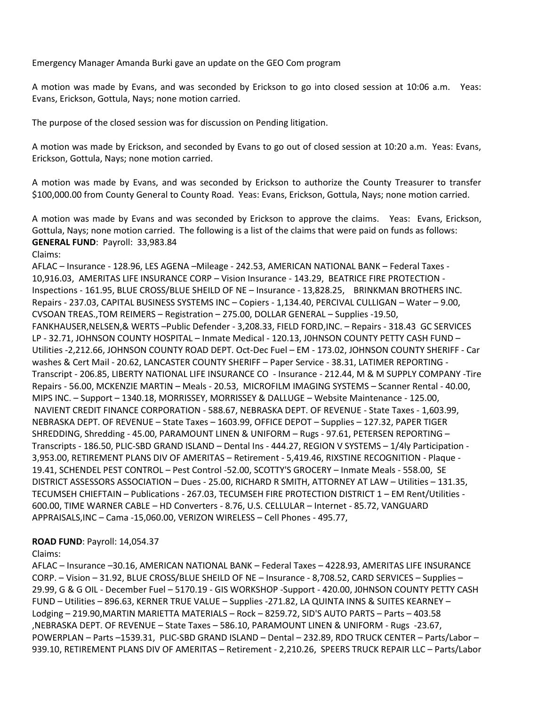Emergency Manager Amanda Burki gave an update on the GEO Com program

A motion was made by Evans, and was seconded by Erickson to go into closed session at 10:06 a.m. Yeas: Evans, Erickson, Gottula, Nays; none motion carried.

The purpose of the closed session was for discussion on Pending litigation.

A motion was made by Erickson, and seconded by Evans to go out of closed session at 10:20 a.m. Yeas: Evans, Erickson, Gottula, Nays; none motion carried.

A motion was made by Evans, and was seconded by Erickson to authorize the County Treasurer to transfer \$100,000.00 from County General to County Road. Yeas: Evans, Erickson, Gottula, Nays; none motion carried.

A motion was made by Evans and was seconded by Erickson to approve the claims. Yeas: Evans, Erickson, Gottula, Nays; none motion carried. The following is a list of the claims that were paid on funds as follows: **GENERAL FUND**: Payroll: 33,983.84

Claims:

AFLAC – Insurance - 128.96, LES AGENA –Mileage - 242.53, AMERICAN NATIONAL BANK – Federal Taxes - 10,916.03, AMERITAS LIFE INSURANCE CORP – Vision Insurance - 143.29, BEATRICE FIRE PROTECTION - Inspections - 161.95, BLUE CROSS/BLUE SHEILD OF NE – Insurance - 13,828.25, BRINKMAN BROTHERS INC. Repairs - 237.03, CAPITAL BUSINESS SYSTEMS INC – Copiers - 1,134.40, PERCIVAL CULLIGAN – Water – 9.00, CVSOAN TREAS.,TOM REIMERS – Registration – 275.00, DOLLAR GENERAL – Supplies -19.50, FANKHAUSER,NELSEN,& WERTS –Public Defender - 3,208.33, FIELD FORD,INC. – Repairs - 318.43 GC SERVICES LP - 32.71, JOHNSON COUNTY HOSPITAL – Inmate Medical - 120.13, J0HNSON COUNTY PETTY CASH FUND – Utilities -2,212.66, JOHNSON COUNTY ROAD DEPT. Oct-Dec Fuel – EM - 173.02, JOHNSON COUNTY SHERIFF - Car washes & Cert Mail - 20.62, LANCASTER COUNTY SHERIFF – Paper Service - 38.31, LATIMER REPORTING - Transcript - 206.85, LIBERTY NATIONAL LIFE INSURANCE CO - Insurance - 212.44, M & M SUPPLY COMPANY -Tire Repairs - 56.00, MCKENZIE MARTIN – Meals - 20.53, MICROFILM IMAGING SYSTEMS – Scanner Rental - 40.00, MIPS INC. – Support – 1340.18, MORRISSEY, MORRISSEY & DALLUGE – Website Maintenance - 125.00, NAVIENT CREDIT FINANCE CORPORATION - 588.67, NEBRASKA DEPT. OF REVENUE - State Taxes - 1,603.99, NEBRASKA DEPT. OF REVENUE – State Taxes – 1603.99, OFFICE DEPOT – Supplies – 127.32, PAPER TIGER SHREDDING, Shredding - 45.00, PARAMOUNT LINEN & UNIFORM – Rugs - 97.61, PETERSEN REPORTING – Transcripts - 186.50, PLIC-SBD GRAND ISLAND – Dental Ins - 444.27, REGION V SYSTEMS – 1/4ly Participation - 3,953.00, RETIREMENT PLANS DIV OF AMERITAS – Retirement - 5,419.46, RIXSTINE RECOGNITION - Plaque - 19.41, SCHENDEL PEST CONTROL – Pest Control -52.00, SCOTTY'S GROCERY – Inmate Meals - 558.00, SE DISTRICT ASSESSORS ASSOCIATION – Dues - 25.00, RICHARD R SMITH, ATTORNEY AT LAW – Utilities – 131.35, TECUMSEH CHIEFTAIN – Publications - 267.03, TECUMSEH FIRE PROTECTION DISTRICT 1 – EM Rent/Utilities - 600.00, TIME WARNER CABLE – HD Converters - 8.76, U.S. CELLULAR – Internet - 85.72, VANGUARD APPRAISALS,INC – Cama -15,060.00, VERIZON WIRELESS – Cell Phones - 495.77,

## **ROAD FUND**: Payroll: 14,054.37

Claims:

AFLAC – Insurance –30.16, AMERICAN NATIONAL BANK – Federal Taxes – 4228.93, AMERITAS LIFE INSURANCE CORP. – Vision – 31.92, BLUE CROSS/BLUE SHEILD OF NE – Insurance - 8,708.52, CARD SERVICES – Supplies – 29.99, G & G OIL - December Fuel – 5170.19 - GIS WORKSHOP -Support - 420.00, J0HNSON COUNTY PETTY CASH FUND – Utilities – 896.63, KERNER TRUE VALUE – Supplies -271.82, LA QUINTA INNS & SUITES KEARNEY – Lodging – 219.90,MARTIN MARIETTA MATERIALS – Rock – 8259.72, SID'S AUTO PARTS – Parts – 403.58 ,NEBRASKA DEPT. OF REVENUE – State Taxes – 586.10, PARAMOUNT LINEN & UNIFORM - Rugs -23.67, POWERPLAN – Parts –1539.31, PLIC-SBD GRAND ISLAND – Dental – 232.89, RDO TRUCK CENTER – Parts/Labor – 939.10, RETIREMENT PLANS DIV OF AMERITAS – Retirement - 2,210.26, SPEERS TRUCK REPAIR LLC – Parts/Labor